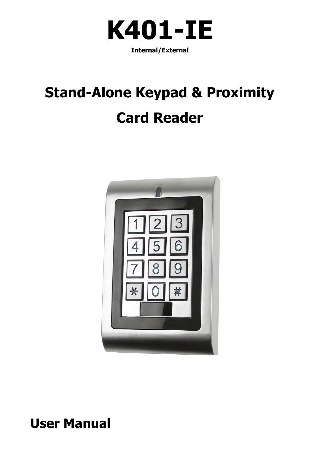

**Internal/External**

## **Stand-Alone Keypad & Proximity Card Reader**



### **User Manual**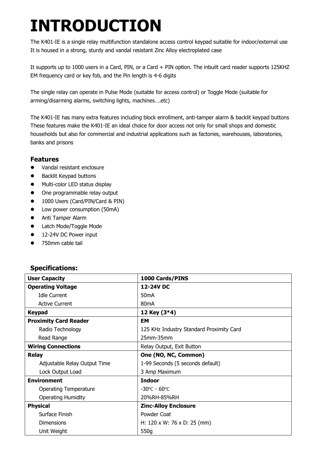## **INTRODUCTION**

The K401-IE is a single relay multifunction standalone access control keypad suitable for indoor/external use It is housed in a strong, sturdy and vandal resistant Zinc Alloy electroplated case

It supports up to 1000 users in a Card, PIN, or a Card + PIN option. The inbuilt card reader supports 125KHZ EM frequency card or key fob, and the Pin length is 4-6 digits

The single relay can operate in Pulse Mode (suitable for access control) or Toggle Mode (suitable for arming/disarming alarms, switching lights, machines….etc)

The K401-IE has many extra features including block enrollment, anti-tamper alarm & backlit keypad buttons These features make the K401-IE an ideal choice for door access not only for small shops and domestic households but also for commercial and industrial applications such as factories, warehouses, laboratories, banks and prisons

#### **Features**

- Vandal resistant enclosure
- Backlit Keypad buttons
- $\bullet$  Multi-color LED status display
- One programmable relay output
- 1000 Users (Card/PIN/Card & PIN)
- Low power consumption (50mA)
- **•** Anti Tamper Alarm
- **•** Latch Mode/Toggle Mode
- 12-24V DC Power input
- 750mm cable tail

#### **Specifications:**

| <b>User Capacity</b>         | 1000 Cards/PINS                          |
|------------------------------|------------------------------------------|
| <b>Operating Voltage</b>     | 12-24V DC                                |
| <b>Idle Current</b>          | 50 <sub>m</sub> A                        |
| <b>Active Current</b>        | 80 <sub>m</sub> A                        |
| <b>Keypad</b>                | 12 Key (3*4)                             |
| <b>Proximity Card Reader</b> | EM                                       |
| Radio Technology             | 125 KHz Industry Standard Proximity Card |
| Read Range                   | $25$ mm $-35$ mm                         |
| <b>Wiring Connections</b>    | Relay Output, Exit Button                |
| <b>Relay</b>                 | One (NO, NC, Common)                     |
| Adjustable Relay Output Time | 1-99 Seconds (5 seconds default)         |
| Lock Output Load             | 3 Amp Maximum                            |
| <b>Environment</b>           | <b>Indoor</b>                            |
| <b>Operating Temperature</b> | $-30^{\circ}$ C – 60 $^{\circ}$ C        |
| <b>Operating Humidity</b>    | 20%RH-85%RH                              |
| <b>Physical</b>              | <b>Zinc-Alloy Enclosure</b>              |
| Surface Finish               | Powder Coat                              |
| Dimensions                   | H: $120 \times W$ : 76 x D: 25 (mm)      |
| Unit Weight                  | 550g                                     |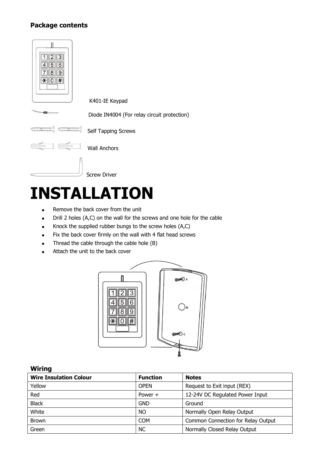#### **Package contents**



## **INSTALLATION**

- Remove the back cover from the unit
- Drill 2 holes (A,C) on the wall for the screws and one hole for the cable
- $\bullet$  Knock the supplied rubber bungs to the screw holes  $(A,C)$
- Fix the back cover firmly on the wall with 4 flat head screws
- Thread the cable through the cable hole (B)
- Attach the unit to the back cover



#### **Wiring**

| <b>Function</b> | <b>Notes</b>                       |
|-----------------|------------------------------------|
| <b>OPEN</b>     | Request to Exit input (REX)        |
| Power $+$       | 12-24V DC Regulated Power Input    |
| <b>GND</b>      | Ground                             |
| NO.             | Normally Open Relay Output         |
| <b>COM</b>      | Common Connection for Relay Output |
| <b>NC</b>       | Normally Closed Relay Output       |
|                 |                                    |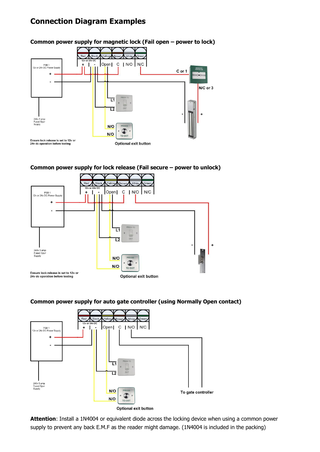### **Connection Diagram Examples**



#### **Common power supply for lock release (Fail secure – power to unlock)**



#### **Common power supply for auto gate controller (using Normally Open contact)**



**Attention**: Install a 1N4004 or equivalent diode across the locking device when using a common power supply to prevent any back E.M.F as the reader might damage. (1N4004 is included in the packing)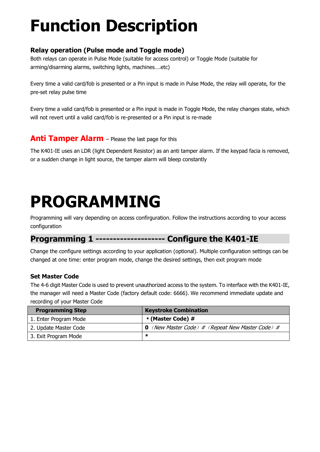## **Function Description**

#### **Relay operation (Pulse mode and Toggle mode)**

Both relays can operate in Pulse Mode (suitable for access control) or Toggle Mode (suitable for arming/disarming alarms, switching lights, machines….etc)

Every time a valid card/fob is presented or a Pin input is made in Pulse Mode, the relay will operate, for the pre-set relay pulse time

Every time a valid card/fob is presented or a Pin input is made in Toggle Mode, the relay changes state, which will not revert until a valid card/fob is re-presented or a Pin input is re-made

#### **Anti Tamper Alarm** – Please the last page for this

The K401-IE uses an LDR (light Dependent Resistor) as an anti tamper alarm. If the keypad facia is removed, or a sudden change in light source, the tamper alarm will bleep constantly

## **PROGRAMMING**

Programming will vary depending on access confirguration. Follow the instructions according to your access configuration

### **Programming 1 -------------------- Configure the K401-IE**

Change the configure settings according to your application (optional). Multiple configuration settings can be changed at one time: enter program mode, change the desired settings, then exit program mode

#### **Set Master Code**

The 4-6 digit Master Code is used to prevent unauthorized access to the system. To interface with the K401-IE, the manager will need a Master Code (factory default code: 6666). We recommend immediate update and recording of your Master Code

| <b>Programming Step</b> | <b>Keystroke Combination</b>                            |
|-------------------------|---------------------------------------------------------|
| 1. Enter Program Mode   | * (Master Code) #                                       |
| 2. Update Master Code   | <b>0</b> (New Master Code) # (Repeat New Master Code) # |
| 3. Exit Program Mode    | ∗                                                       |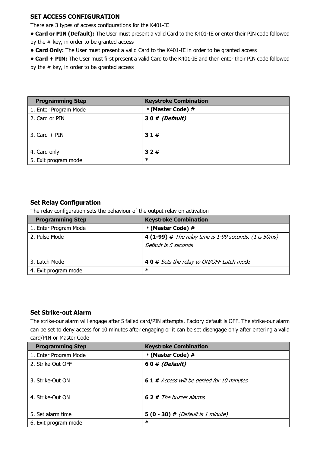#### **SET ACCESS CONFIGURATION**

There are 3 types of access configurations for the K401-IE

**• Card or PIN (Default):** The User must present a valid Card to the K401-IE or enter their PIN code followed by the  $#$  key, in order to be granted access

**• Card Only:** The User must present a valid Card to the K401-IE in order to be granted access

**• Card + PIN:** The User must first present a valid Card to the K401-IE and then enter their PIN code followed by the # key, in order to be granted access

| <b>Programming Step</b> | <b>Keystroke Combination</b> |
|-------------------------|------------------------------|
| 1. Enter Program Mode   | * (Master Code) #            |
| 2. Card or PIN          | 30# (Default)                |
| 3. Card $+$ PIN         | 31#                          |
| 4. Card only            | 32#                          |
| 5. Exit program mode    | $\ast$                       |

#### **Set Relay Configuration**

The relay configuration sets the behaviour of the output relay on activation

| <b>Programming Step</b> | <b>Keystroke Combination</b>                                                          |
|-------------------------|---------------------------------------------------------------------------------------|
| 1. Enter Program Mode   | * (Master Code) #                                                                     |
| 2. Pulse Mode           | <b>4 (1-99)</b> # The relay time is 1-99 seconds. (1 is 50ms)<br>Default is 5 seconds |
| 3. Latch Mode           | 4 0 # Sets the relay to ON/OFF Latch mode                                             |
| 4. Exit program mode    | ∗                                                                                     |

#### **Set Strike-out Alarm**

The strike-our alarm will engage after 5 failed card/PIN attempts. Factory default is OFF. The strike-our alarm can be set to deny access for 10 minutes after engaging or it can be set disengage only after entering a valid card/PIN or Master Code

| <b>Programming Step</b> | <b>Keystroke Combination</b>               |
|-------------------------|--------------------------------------------|
| 1. Enter Program Mode   | * (Master Code) #                          |
| 2. Strike-Out OFF       | 60# (Default)                              |
| 3. Strike-Out ON        | 6 1 # Access will be denied for 10 minutes |
| 4. Strike-Out ON        | <b>62</b> # The buzzer alarms              |
| 5. Set alarm time       | $5(0 - 30)$ # (Default is 1 minute)        |
| 6. Exit program mode    | ∗                                          |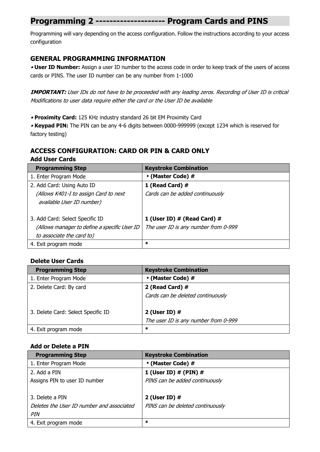### **Programming 2 -------------------- Program Cards and PINS**

Programming will vary depending on the access configuration. Follow the instructions according to your access configuration

#### **GENERAL PROGRAMMING INFORMATION**

• **User ID Number:** Assign a user ID number to the access code in order to keep track of the users of access cards or PINS. The user ID number can be any number from 1-1000

**IMPORTANT:** User IDs do not have to be proceeded with any leading zeros. Recording of User ID is critical Modifications to user data require either the card or the User ID be available

• **Proximity Card:** 125 KHz industry standard 26 bit EM Proximity Card

• **Keypad PIN:** The PIN can be any 4-6 digits between 0000-999999 (except 1234 which is reserved for factory testing)

#### **ACCESS CONFIGURATION: CARD OR PIN & CARD ONLY Add User Cards**

| <b>Programming Step</b>                      | <b>Keystroke Combination</b>         |
|----------------------------------------------|--------------------------------------|
| 1. Enter Program Mode                        | * (Master Code) #                    |
| 2. Add Card: Using Auto ID                   | 1 (Read Card) #                      |
| (Allows K401-I to assign Card to next        | Cards can be added continuously      |
| available User ID number)                    |                                      |
|                                              |                                      |
| 3. Add Card: Select Specific ID              | 1 (User ID) # (Read Card) #          |
| (Allows manager to define a specific User ID | The user ID is any number from 0-999 |
| to associate the card to)                    |                                      |
| 4. Exit program mode                         | ∗                                    |

#### **Delete User Cards**

| <b>Programming Step</b>            | <b>Keystroke Combination</b>         |
|------------------------------------|--------------------------------------|
| 1. Enter Program Mode              | * (Master Code) #                    |
| 2. Delete Card: By card            | 2 (Read Card) #                      |
|                                    | Cards can be deleted continuously    |
| 3. Delete Card: Select Specific ID | 2 (User ID) $#$                      |
|                                    | The user ID is any number from 0-999 |
| 4. Exit program mode               | $\ast$                               |

#### **Add or Delete a PIN**

| <b>Programming Step</b>                   | <b>Keystroke Combination</b>     |
|-------------------------------------------|----------------------------------|
| 1. Enter Program Mode                     | * (Master Code) #                |
| 2. Add a PIN                              | 1 (User ID) $#$ (PIN) $#$        |
| Assigns PIN to user ID number             | PINS can be added continuously   |
|                                           |                                  |
| 3. Delete a PIN                           | 2 (User ID) #                    |
| Deletes the User ID number and associated | PINS can be deleted continuously |
| PIN                                       |                                  |
| 4. Exit program mode                      | $\ast$                           |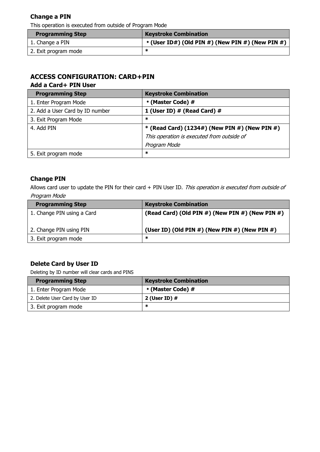#### **Change a PIN**

This operation is executed from outside of Program Mode

| <b>Programming Step</b> | <b>Keystroke Combination</b>                     |
|-------------------------|--------------------------------------------------|
| 1. Change a PIN         | * (User ID#) (Old PIN #) (New PIN #) (New PIN #) |
| 2. Exit program mode    |                                                  |

#### **ACCESS CONFIGURATION: CARD+PIN Add a Card+ PIN User**

| <b>Programming Step</b>         | <b>Keystroke Combination</b>                     |
|---------------------------------|--------------------------------------------------|
| 1. Enter Program Mode           | * (Master Code) #                                |
| 2. Add a User Card by ID number | 1 (User ID) # (Read Card) #                      |
| 3. Exit Program Mode            | ж                                                |
| 4. Add PIN                      | * (Read Card) $(1234\#)$ (New PIN #) (New PIN #) |
|                                 | This operation is executed from outside of       |
|                                 | Program Mode                                     |
| 5. Exit program mode            | ∗                                                |

#### **Change PIN**

Allows card user to update the PIN for their card  $+$  PIN User ID. This operation is executed from outside of Program Mode

| <b>Programming Step</b>    | <b>Keystroke Combination</b>                           |
|----------------------------|--------------------------------------------------------|
| 1. Change PIN using a Card | (Read Card) (Old PIN #) (New PIN #) (New PIN #)        |
| 2. Change PIN using PIN    | (User ID) (Old PIN $#$ ) (New PIN $#$ ) (New PIN $#$ ) |
| 3. Exit program mode       | ж                                                      |

#### **Delete Card by User ID**

Deleting by ID number will clear cards and PINS

| <b>Programming Step</b>        | <b>Keystroke Combination</b> |
|--------------------------------|------------------------------|
| 1. Enter Program Mode          | * (Master Code) #            |
| 2. Delete User Card by User ID | 2 (User ID) $#$              |
| 3. Exit program mode           | ∗                            |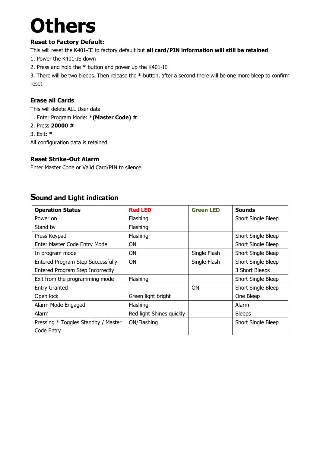# **Others**

#### **Reset to Factory Default:**

This will reset the K401-IE to factory default but **all card/PIN information will still be retained**

- 1. Power the K401-IE down
- 2. Press and hold the **\*** button and power up the K401-IE

3. There will be two bleeps. Then release the **\*** button, after a second there will be one more bleep to confirm reset

#### **Erase all Cards**

This will delete ALL User data

- 1. Enter Program Mode: **\*(Master Code) #**
- 2. Press **20000 #**
- 3. Exit: **\***

All configuration data is retained

#### **Reset Strike-Out Alarm**

Enter Master Code or Valid Card/PIN to silence

### **Sound and Light indication**

| <b>Operation Status</b>             | <b>Red LED</b>           | <b>Green LED</b> | <b>Sounds</b>      |
|-------------------------------------|--------------------------|------------------|--------------------|
| Power on                            | Flashing                 |                  | Short Single Bleep |
| Stand by                            | Flashing                 |                  |                    |
| Press Keypad                        | Flashing                 |                  | Short Single Bleep |
| Enter Master Code Entry Mode        | ΟN                       |                  | Short Single Bleep |
| In program mode                     | <b>ON</b>                | Single Flash     | Short Single Bleep |
| Entered Program Step Successfully   | <b>ON</b>                | Single Flash     | Short Single Bleep |
| Entered Program Step Incorrectly    |                          |                  | 3 Short Bleeps     |
| Exit from the programming mode      | Flashing                 |                  | Short Single Bleep |
| <b>Entry Granted</b>                |                          | 0N               | Short Single Bleep |
| Open lock                           | Green light bright       |                  | One Bleep          |
| Alarm Mode Engaged                  | Flashing                 |                  | Alarm              |
| Alarm                               | Red light Shines quickly |                  | <b>Bleeps</b>      |
| Pressing * Toggles Standby / Master | ON/Flashing              |                  | Short Single Bleep |
| Code Entry                          |                          |                  |                    |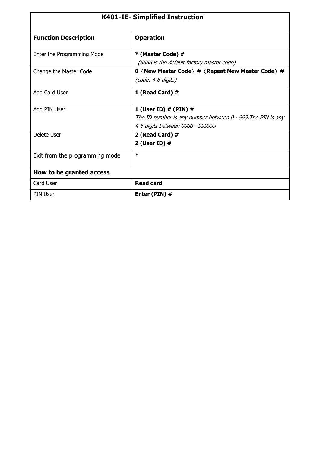| <b>K401-IE- Simplified Instruction</b> |                                                                                                                              |  |
|----------------------------------------|------------------------------------------------------------------------------------------------------------------------------|--|
| <b>Function Description</b>            | <b>Operation</b>                                                                                                             |  |
| Enter the Programming Mode             | * (Master Code) #<br>(6666 is the default factory master code)                                                               |  |
| Change the Master Code                 | 0 (New Master Code) # (Repeat New Master Code) #<br>(code: 4-6 digits)                                                       |  |
| Add Card User                          | 1 (Read Card) #                                                                                                              |  |
| Add PIN User                           | 1 (User ID) $#$ (PIN) $#$<br>The ID number is any number between 0 - 999. The PIN is any<br>4-6 digits between 0000 - 999999 |  |
| Delete User                            | 2 (Read Card) #<br>2 (User ID) #                                                                                             |  |
| Exit from the programming mode         | $\ast$                                                                                                                       |  |
| How to be granted access               |                                                                                                                              |  |
| Card User                              | <b>Read card</b>                                                                                                             |  |
| <b>PIN User</b>                        | Enter (PIN) #                                                                                                                |  |